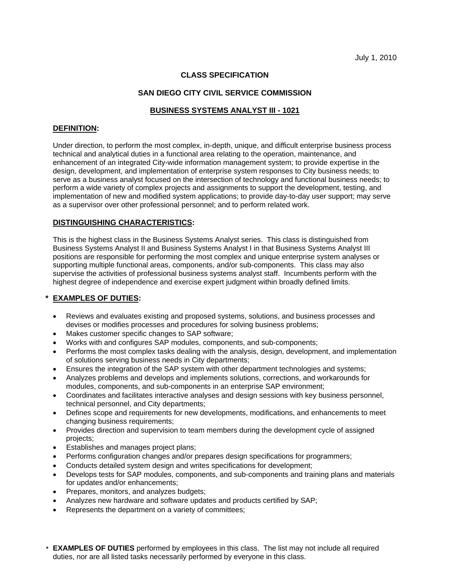# **CLASS SPECIFICATION**

### **SAN DIEGO CITY CIVIL SERVICE COMMISSION**

## **BUSINESS SYSTEMS ANALYST III - 1021**

#### **DEFINITION:**

Under direction, to perform the most complex, in-depth, unique, and difficult enterprise business process technical and analytical duties in a functional area relating to the operation, maintenance, and enhancement of an integrated City-wide information management system; to provide expertise in the design, development, and implementation of enterprise system responses to City business needs; to serve as a business analyst focused on the intersection of technology and functional business needs; to perform a wide variety of complex projects and assignments to support the development, testing, and implementation of new and modified system applications; to provide day-to-day user support; may serve as a supervisor over other professional personnel; and to perform related work.

#### **DISTINGUISHING CHARACTERISTICS:**

This is the highest class in the Business Systems Analyst series. This class is distinguished from Business Systems Analyst II and Business Systems Analyst I in that Business Systems Analyst III positions are responsible for performing the most complex and unique enterprise system analyses or supporting multiple functional areas, components, and/or sub-components. This class may also supervise the activities of professional business systems analyst staff. Incumbents perform with the highest degree of independence and exercise expert judgment within broadly defined limits.

# **\* EXAMPLES OF DUTIES:**

- Reviews and evaluates existing and proposed systems, solutions, and business processes and devises or modifies processes and procedures for solving business problems;
- Makes customer specific changes to SAP software;
- Works with and configures SAP modules, components, and sub-components;
- Performs the most complex tasks dealing with the analysis, design, development, and implementation of solutions serving business needs in City departments;
- Ensures the integration of the SAP system with other department technologies and systems;
- Analyzes problems and develops and implements solutions, corrections, and workarounds for modules, components, and sub-components in an enterprise SAP environment;
- • Coordinates and facilitates interactive analyses and design sessions with key business personnel, technical personnel, and City departments;
- Defines scope and requirements for new developments, modifications, and enhancements to meet changing business requirements;
- Provides direction and supervision to team members during the development cycle of assigned projects;
- **Establishes and manages project plans;**
- Performs configuration changes and/or prepares design specifications for programmers;
- Conducts detailed system design and writes specifications for development;
- Develops tests for SAP modules, components, and sub-components and training plans and materials for updates and/or enhancements;
- Prepares, monitors, and analyzes budgets;
- Analyzes new hardware and software updates and products certified by SAP;
- Represents the department on a variety of committees;
- **\* EXAMPLES OF DUTIES** performed by employees in this class. The list may not include all required duties, nor are all listed tasks necessarily performed by everyone in this class.